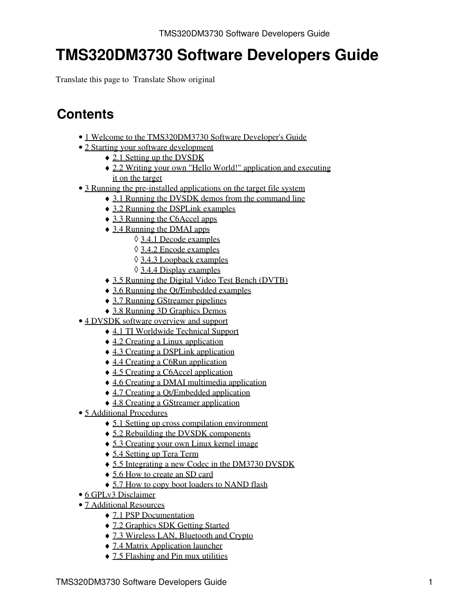Translate this page to Translate Show original

# **Contents**

- [1 Welcome to the TMS320DM3730 Software Developer's Guide](#page-1-0)
- [2 Starting your software development](#page-1-1)
	- ♦ [2.1 Setting up the DVSDK](#page-1-2)
	- [2.2 Writing your own "Hello World!" application and executing](#page-2-0) ♦ [it on the target](#page-2-0)
- [3 Running the pre-installed applications on the target file system](#page-4-0)
	- ♦ [3.1 Running the DVSDK demos from the command line](#page-4-1)
		- ♦ [3.2 Running the DSPLink examples](#page-5-0)
		- ♦ [3.3 Running the C6Accel apps](#page-5-1)
		- [3.4 Running the DMAI apps](#page-5-2) ♦
			- ◊ [3.4.1 Decode examples](#page-6-0)
				- ◊ [3.4.2 Encode examples](#page-6-1)
				- ◊ [3.4.3 Loopback examples](#page-7-0)
				- ◊ [3.4.4 Display examples](#page-7-1)
		- ♦ [3.5 Running the Digital Video Test Bench \(DVTB\)](#page-7-2)
		- ♦ [3.6 Running the Qt/Embedded examples](#page-8-0)
		- ♦ [3.7 Running GStreamer pipelines](#page-8-1)
		- ♦ [3.8 Running 3D Graphics Demos](#page-9-0)
- [4 DVSDK software overview and support](#page-10-0)
	- ♦ [4.1 TI Worldwide Technical Support](#page-11-0)
	- ♦ [4.2 Creating a Linux application](#page-12-0)
	- ♦ [4.3 Creating a DSPLink application](#page-14-0)
	- ♦ [4.4 Creating a C6Run application](#page-15-0)
	- ♦ [4.5 Creating a C6Accel application](#page-17-0)
	- ♦ [4.6 Creating a DMAI multimedia application](#page-19-0)
	- ♦ [4.7 Creating a Qt/Embedded application](#page-20-0)
	- ♦ [4.8 Creating a GStreamer application](#page-22-0)
- [5 Additional Procedures](#page-23-0)
	- ♦ [5.1 Setting up cross compilation environment](#page-23-1)
	- ♦ [5.2 Rebuilding the DVSDK components](#page-23-2)
	- ♦ [5.3 Creating your own Linux kernel image](#page-24-0)
	- ♦ [5.4 Setting up Tera Term](#page-25-0)
	- ♦ [5.5 Integrating a new Codec in the DM3730 DVSDK](#page-26-0)
	- ♦ [5.6 How to create an SD card](#page-28-0)
	- [5.7 How to copy boot loaders to NAND flash](#page-29-0)
- [6 GPLv3 Disclaimer](#page-30-0)
- [7 Additional Resources](#page-30-1)
	- ♦ [7.1 PSP Documentation](#page-30-2)
	- ♦ [7.2 Graphics SDK Getting Started](#page-30-3)
	- ♦ [7.3 Wireless LAN, Bluetooth and Crypto](#page-30-4)
	- ♦ [7.4 Matrix Application launcher](#page-31-0)
	- ♦ [7.5 Flashing and Pin mux utilities](#page-31-1)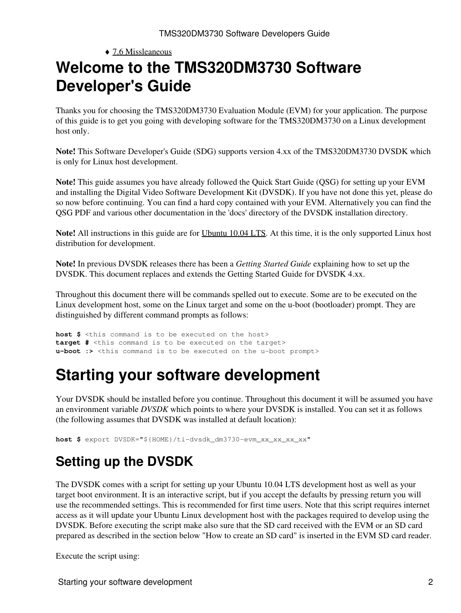## <span id="page-1-0"></span> $\triangle$  [7.6 Missleaneous](#page-31-2) **Welcome to the TMS320DM3730 Software Developer's Guide**

Thanks you for choosing the TMS320DM3730 Evaluation Module (EVM) for your application. The purpose of this guide is to get you going with developing software for the TMS320DM3730 on a Linux development host only.

**Note!** This Software Developer's Guide (SDG) supports version 4.xx of the TMS320DM3730 DVSDK which is only for Linux host development.

**Note!** This guide assumes you have already followed the Quick Start Guide (QSG) for setting up your EVM and installing the Digital Video Software Development Kit (DVSDK). If you have not done this yet, please do so now before continuing. You can find a hard copy contained with your EVM. Alternatively you can find the QSG PDF and various other documentation in the 'docs' directory of the DVSDK installation directory.

**Note!** All instructions in this guide are for [Ubuntu 10.04 LTS](http://releases.ubuntu.com/10.04). At this time, it is the only supported Linux host distribution for development.

**Note!** In previous DVSDK releases there has been a *Getting Started Guide* explaining how to set up the DVSDK. This document replaces and extends the Getting Started Guide for DVSDK 4.xx.

Throughout this document there will be commands spelled out to execute. Some are to be executed on the Linux development host, some on the Linux target and some on the u-boot (bootloader) prompt. They are distinguished by different command prompts as follows:

**host \$** <this command is to be executed on the host> **target #** <this command is to be executed on the target> **u-boot :>** <this command is to be executed on the u-boot prompt>

# <span id="page-1-1"></span>**Starting your software development**

Your DVSDK should be installed before you continue. Throughout this document it will be assumed you have an environment variable *DVSDK* which points to where your DVSDK is installed. You can set it as follows (the following assumes that DVSDK was installed at default location):

**host \$** export DVSDK="\${HOME}/ti-dvsdk\_dm3730-evm\_xx\_xx\_xx\_xx"

# <span id="page-1-2"></span>**Setting up the DVSDK**

The DVSDK comes with a script for setting up your Ubuntu 10.04 LTS development host as well as your target boot environment. It is an interactive script, but if you accept the defaults by pressing return you will use the recommended settings. This is recommended for first time users. Note that this script requires internet access as it will update your Ubuntu Linux development host with the packages required to develop using the DVSDK. Before executing the script make also sure that the SD card received with the EVM or an SD card prepared as described in the section below "How to create an SD card" is inserted in the EVM SD card reader.

Execute the script using: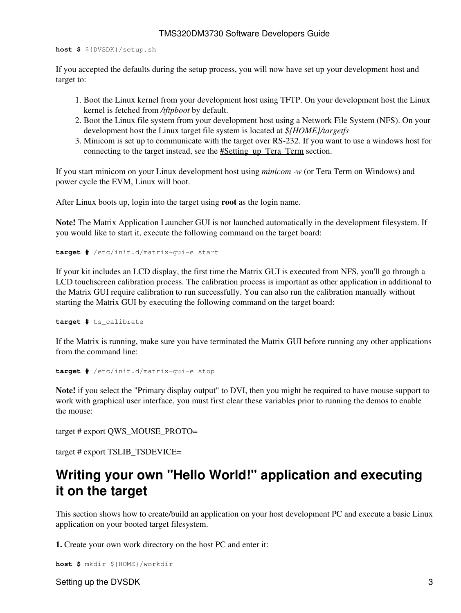**host \$** \${DVSDK}/setup.sh

If you accepted the defaults during the setup process, you will now have set up your development host and target to:

- 1. Boot the Linux kernel from your development host using TFTP. On your development host the Linux kernel is fetched from */tftpboot* by default.
- 2. Boot the Linux file system from your development host using a Network File System (NFS). On your development host the Linux target file system is located at *\${HOME}/targetfs*
- Minicom is set up to communicate with the target over RS-232. If you want to use a windows host for 3. connecting to the target instead, see the #Setting up Tera Term section.

If you start minicom on your Linux development host using *minicom -w* (or Tera Term on Windows) and power cycle the EVM, Linux will boot.

After Linux boots up, login into the target using **root** as the login name.

**Note!** The Matrix Application Launcher GUI is not launched automatically in the development filesystem. If you would like to start it, execute the following command on the target board:

**target #** /etc/init.d/matrix-gui-e start

If your kit includes an LCD display, the first time the Matrix GUI is executed from NFS, you'll go through a LCD touchscreen calibration process. The calibration process is important as other application in additional to the Matrix GUI require calibration to run successfully. You can also run the calibration manually without starting the Matrix GUI by executing the following command on the target board:

**target #** ts\_calibrate

If the Matrix is running, make sure you have terminated the Matrix GUI before running any other applications from the command line:

```
target # /etc/init.d/matrix-gui-e stop
```
**Note!** if you select the "Primary display output" to DVI, then you might be required to have mouse support to work with graphical user interface, you must first clear these variables prior to running the demos to enable the mouse:

target # export QWS\_MOUSE\_PROTO=

target # export TSLIB\_TSDEVICE=

## <span id="page-2-0"></span>**Writing your own "Hello World!" application and executing it on the target**

This section shows how to create/build an application on your host development PC and execute a basic Linux application on your booted target filesystem.

**1.** Create your own work directory on the host PC and enter it:

```
host $ mkdir ${HOME}/workdir
```
Setting up the DVSDK 3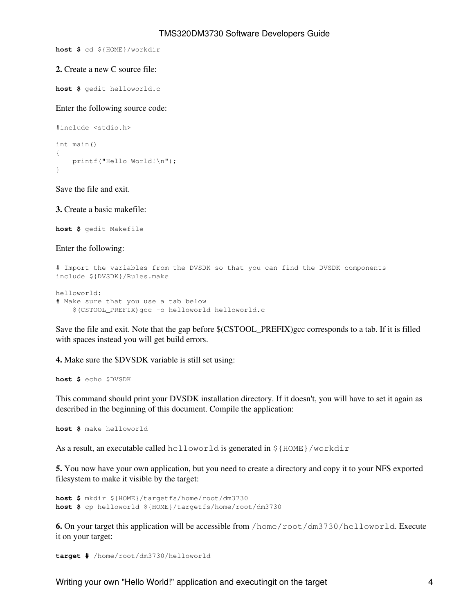**host \$** cd \${HOME}/workdir

#### **2.** Create a new C source file:

**host \$** gedit helloworld.c

Enter the following source code:

```
#include <stdio.h>
int main()
{
     printf("Hello World!\n");
}
```
Save the file and exit.

**3.** Create a basic makefile:

**host \$** gedit Makefile

Enter the following:

```
# Import the variables from the DVSDK so that you can find the DVSDK components
include ${DVSDK}/Rules.make
```

```
helloworld:
# Make sure that you use a tab below
     $(CSTOOL_PREFIX)gcc -o helloworld helloworld.c
```
Save the file and exit. Note that the gap before \$(CSTOOL\_PREFIX)gcc corresponds to a tab. If it is filled with spaces instead you will get build errors.

**4.** Make sure the \$DVSDK variable is still set using:

**host \$** echo \$DVSDK

This command should print your DVSDK installation directory. If it doesn't, you will have to set it again as described in the beginning of this document. Compile the application:

**host \$** make helloworld

As a result, an executable called helloworld is generated in \${HOME}/workdir

**5.** You now have your own application, but you need to create a directory and copy it to your NFS exported filesystem to make it visible by the target:

**host \$** mkdir \${HOME}/targetfs/home/root/dm3730 **host \$** cp helloworld \${HOME}/targetfs/home/root/dm3730

**6.** On your target this application will be accessible from /home/root/dm3730/helloworld. Execute it on your target:

**target #** /home/root/dm3730/helloworld

Writing your own "Hello World!" application and executingit on the target  $4 \times 4$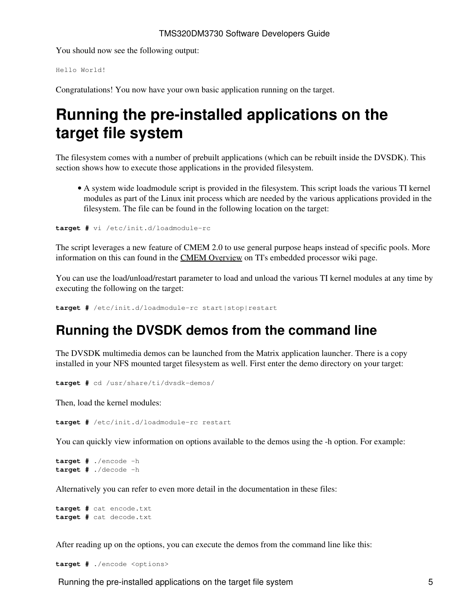You should now see the following output:

Hello World!

Congratulations! You now have your own basic application running on the target.

# <span id="page-4-0"></span>**Running the pre-installed applications on the target file system**

The filesystem comes with a number of prebuilt applications (which can be rebuilt inside the DVSDK). This section shows how to execute those applications in the provided filesystem.

A system wide loadmodule script is provided in the filesystem. This script loads the various TI kernel • modules as part of the Linux init process which are needed by the various applications provided in the filesystem. The file can be found in the following location on the target:

**target #** vi /etc/init.d/loadmodule-rc

The script leverages a new feature of CMEM 2.0 to use general purpose heaps instead of specific pools. More information on this can found in the [CMEM Overview](http://processors.wiki.ti.com/index.php/CMEM_Overview) on TI's embedded processor wiki page.

You can use the load/unload/restart parameter to load and unload the various TI kernel modules at any time by executing the following on the target:

**target #** /etc/init.d/loadmodule-rc start|stop|restart

## <span id="page-4-1"></span>**Running the DVSDK demos from the command line**

The DVSDK multimedia demos can be launched from the Matrix application launcher. There is a copy installed in your NFS mounted target filesystem as well. First enter the demo directory on your target:

**target #** cd /usr/share/ti/dvsdk-demos/

Then, load the kernel modules:

**target #** /etc/init.d/loadmodule-rc restart

You can quickly view information on options available to the demos using the -h option. For example:

```
target # ./encode -h
target # ./decode -h
```
Alternatively you can refer to even more detail in the documentation in these files:

```
target # cat encode.txt
target # cat decode.txt
```
After reading up on the options, you can execute the demos from the command line like this:

**target #** ./encode <options>

Running the pre-installed applications on the target file system  $\sim$  5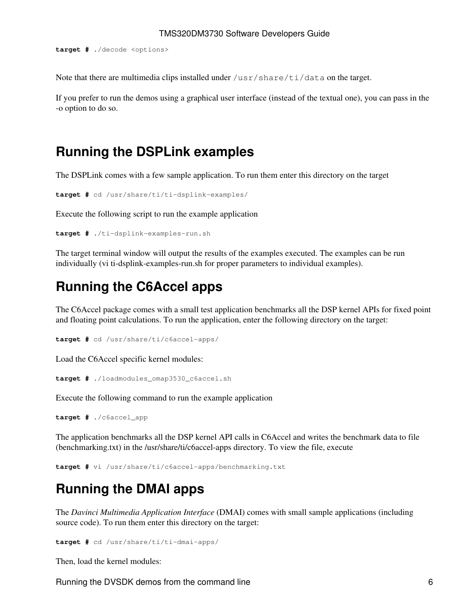**target #** ./decode <options>

Note that there are multimedia clips installed under  $/\text{usr}/\text{share}/\text{tid}$  data on the target.

If you prefer to run the demos using a graphical user interface (instead of the textual one), you can pass in the -o option to do so.

## <span id="page-5-0"></span>**Running the DSPLink examples**

The DSPLink comes with a few sample application. To run them enter this directory on the target

```
target # cd /usr/share/ti/ti-dsplink-examples/
```
Execute the following script to run the example application

```
target # ./ti-dsplink-examples-run.sh
```
The target terminal window will output the results of the examples executed. The examples can be run individually (vi ti-dsplink-examples-run.sh for proper parameters to individual examples).

## <span id="page-5-1"></span>**Running the C6Accel apps**

The C6Accel package comes with a small test application benchmarks all the DSP kernel APIs for fixed point and floating point calculations. To run the application, enter the following directory on the target:

**target #** cd /usr/share/ti/c6accel-apps/

Load the C6Accel specific kernel modules:

**target #** ./loadmodules\_omap3530\_c6accel.sh

Execute the following command to run the example application

**target #** ./c6accel\_app

The application benchmarks all the DSP kernel API calls in C6Accel and writes the benchmark data to file (benchmarking.txt) in the /usr/share/ti/c6accel-apps directory. To view the file, execute

**target #** vi /usr/share/ti/c6accel-apps/benchmarking.txt

## <span id="page-5-2"></span>**Running the DMAI apps**

The *Davinci Multimedia Application Interface* (DMAI) comes with small sample applications (including source code). To run them enter this directory on the target:

**target #** cd /usr/share/ti/ti-dmai-apps/

Then, load the kernel modules:

Running the DVSDK demos from the command line 6  $\sim$  6  $\sim$  6  $\sim$  6  $\sim$  6  $\sim$  6  $\sim$  6  $\sim$  6  $\sim$  6  $\sim$  6  $\sim$  6  $\sim$  6  $\sim$  6  $\sim$  6  $\sim$  6  $\sim$  6  $\sim$  6  $\sim$  6  $\sim$  6  $\sim$  6  $\sim$  6  $\sim$  6  $\sim$  6  $\sim$  6  $\sim$  6  $\sim$  6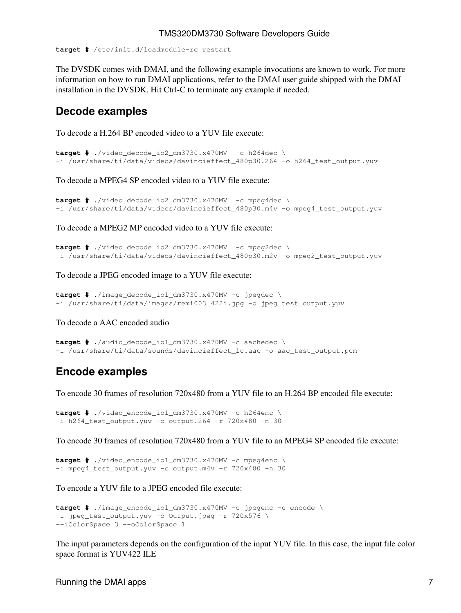**target #** /etc/init.d/loadmodule-rc restart

The DVSDK comes with DMAI, and the following example invocations are known to work. For more information on how to run DMAI applications, refer to the DMAI user guide shipped with the DMAI installation in the DVSDK. Hit Ctrl-C to terminate any example if needed.

#### <span id="page-6-0"></span>**Decode examples**

To decode a H.264 BP encoded video to a YUV file execute:

```
target # ./video_decode_io2_dm3730.x470MV -c h264dec \
-i /usr/share/ti/data/videos/davincieffect_480p30.264 -o h264_test_output.yuv
```
To decode a MPEG4 SP encoded video to a YUV file execute:

```
target # ./video_decode_io2_dm3730.x470MV -c mpeg4dec \
-i /usr/share/ti/data/videos/davincieffect_480p30.m4v -o mpeg4_test_output.yuv
```
To decode a MPEG2 MP encoded video to a YUV file execute:

```
target # ./video_decode_io2_dm3730.x470MV -c mpeg2dec \
-i /usr/share/ti/data/videos/davincieffect_480p30.m2v -o mpeg2_test_output.yuv
```
To decode a JPEG encoded image to a YUV file execute:

```
target # ./image_decode_io1_dm3730.x470MV -c jpegdec \
-i /usr/share/ti/data/images/remi003_422i.jpg -o jpeg_test_output.yuv
```
To decode a AAC encoded audio

```
target # ./audio_decode_io1_dm3730.x470MV -c aachedec \
-i /usr/share/ti/data/sounds/davincieffect_lc.aac -o aac_test_output.pcm
```
#### <span id="page-6-1"></span>**Encode examples**

To encode 30 frames of resolution 720x480 from a YUV file to an H.264 BP encoded file execute:

**target #** ./video\_encode\_io1\_dm3730.x470MV -c h264enc \  $-i$  h264 test output.yuv -o output.264 -r 720x480 -n 30

To encode 30 frames of resolution 720x480 from a YUV file to an MPEG4 SP encoded file execute:

```
target # ./video_encode_io1_dm3730.x470MV -c mpeg4enc \
-i mpeg4_test_output.yuv -o output.m4v -r 720x480 -n 30
```
To encode a YUV file to a JPEG encoded file execute:

```
target # ./image_encode_io1_dm3730.x470MV -c jpegenc -e encode \
-i jpeg_test_output.yuv -o Output.jpeg -r 720x576 \
--iColorSpace 3 --oColorSpace 1
```
The input parameters depends on the configuration of the input YUV file. In this case, the input file color space format is YUV422 ILE

Running the DMAI apps 7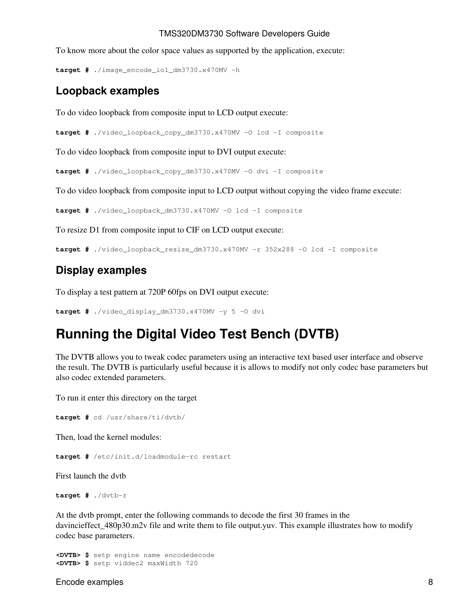To know more about the color space values as supported by the application, execute:

**target #** ./image\_encode\_io1\_dm3730.x470MV -h

#### <span id="page-7-0"></span>**Loopback examples**

To do video loopback from composite input to LCD output execute:

**target #** ./video\_loopback\_copy\_dm3730.x470MV -O lcd -I composite

To do video loopback from composite input to DVI output execute:

**target #** ./video\_loopback\_copy\_dm3730.x470MV -O dvi -I composite

To do video loopback from composite input to LCD output without copying the video frame execute:

**target #** ./video\_loopback\_dm3730.x470MV -O lcd -I composite

To resize D1 from composite input to CIF on LCD output execute:

**target #** ./video\_loopback\_resize\_dm3730.x470MV -r 352x288 -O lcd -I composite

### <span id="page-7-1"></span>**Display examples**

To display a test pattern at 720P 60fps on DVI output execute:

**target #** ./video\_display\_dm3730.x470MV -y 5 -O dvi

## <span id="page-7-2"></span>**Running the Digital Video Test Bench (DVTB)**

The DVTB allows you to tweak codec parameters using an interactive text based user interface and observe the result. The DVTB is particularly useful because it is allows to modify not only codec base parameters but also codec extended parameters.

To run it enter this directory on the target

```
target # cd /usr/share/ti/dvtb/
```
Then, load the kernel modules:

**target #** /etc/init.d/loadmodule-rc restart

First launch the dvtb

**target #** ./dvtb-r

At the dvtb prompt, enter the following commands to decode the first 30 frames in the davincieffect\_480p30.m2v file and write them to file output.yuv. This example illustrates how to modify codec base parameters.

```
<DVTB> $ setp engine name encodedecode
<DVTB> $ setp viddec2 maxWidth 720
```
Encode examples 8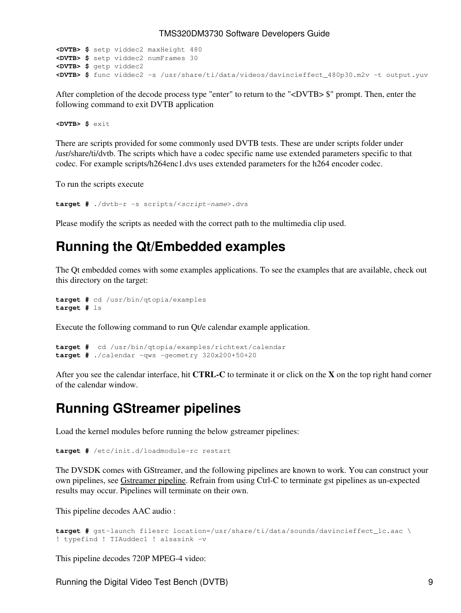```
<DVTB> $ setp viddec2 maxHeight 480
<DVTB> $ setp viddec2 numFrames 30
<DVTB> $ getp viddec2
<DVTB> $ func viddec2 -s /usr/share/ti/data/videos/davincieffect_480p30.m2v -t output.yuv
```
After completion of the decode process type "enter" to return to the "<DVTB> \$" prompt. Then, enter the following command to exit DVTB application

**<DVTB> \$** exit

There are scripts provided for some commonly used DVTB tests. These are under scripts folder under /usr/share/ti/dvtb. The scripts which have a codec specific name use extended parameters specific to that codec. For example scripts/h264enc1.dvs uses extended parameters for the h264 encoder codec.

To run the scripts execute

**target #** ./dvtb-r -s scripts/<*script-name*>.dvs

Please modify the scripts as needed with the correct path to the multimedia clip used.

### <span id="page-8-0"></span>**Running the Qt/Embedded examples**

The Qt embedded comes with some examples applications. To see the examples that are available, check out this directory on the target:

```
target # cd /usr/bin/qtopia/examples
target # ls
```
Execute the following command to run Qt/e calendar example application.

```
target # cd /usr/bin/qtopia/examples/richtext/calendar
target # ./calendar -qws -geometry 320x200+50+20
```
After you see the calendar interface, hit **CTRL-C** to terminate it or click on the **X** on the top right hand corner of the calendar window.

### <span id="page-8-1"></span>**Running GStreamer pipelines**

Load the kernel modules before running the below gstreamer pipelines:

**target #** /etc/init.d/loadmodule-rc restart

The DVSDK comes with GStreamer, and the following pipelines are known to work. You can construct your own pipelines, see [Gstreamer pipeline.](http://processors.wiki.ti.com/index.php/Example_GStreamer_Pipelines#OMAP3530) Refrain from using Ctrl-C to terminate gst pipelines as un-expected results may occur. Pipelines will terminate on their own.

This pipeline decodes AAC audio :

```
target # gst-launch filesrc location=/usr/share/ti/data/sounds/davincieffect_lc.aac \
! typefind ! TIAuddec1 ! alsasink -v
```
This pipeline decodes 720P MPEG-4 video:

Running the Digital Video Test Bench (DVTB) 9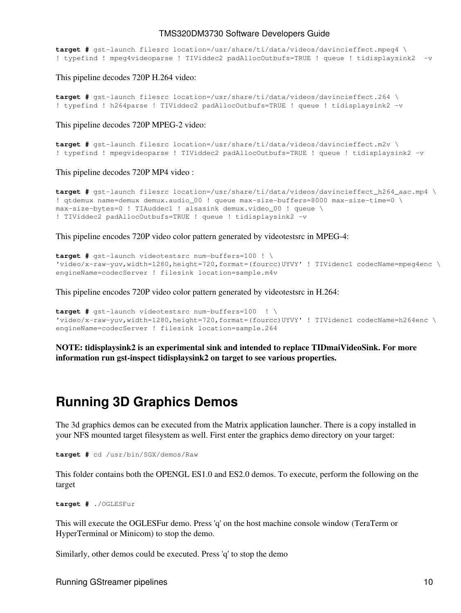**target #** gst-launch filesrc location=/usr/share/ti/data/videos/davincieffect.mpeg4 \ ! typefind ! mpeg4videoparse ! TIViddec2 padAllocOutbufs=TRUE ! queue ! tidisplaysink2 -v

This pipeline decodes 720P H.264 video:

```
target # gst-launch filesrc location=/usr/share/ti/data/videos/davincieffect.264 \
! typefind ! h264parse ! TIViddec2 padAllocOutbufs=TRUE ! queue ! tidisplaysink2 -v
```
This pipeline decodes 720P MPEG-2 video:

```
target # gst-launch filesrc location=/usr/share/ti/data/videos/davincieffect.m2v \
! typefind ! mpegvideoparse ! TIViddec2 padAllocOutbufs=TRUE ! queue ! tidisplaysink2 -v
```
This pipeline decodes 720P MP4 video :

```
target # gst-launch filesrc location=/usr/share/ti/data/videos/davincieffect_h264_aac.mp4 \
! qtdemux name=demux demux.audio_00 ! queue max-size-buffers=8000 max-size-time=0 \
max-size-bytes=0 ! TIAuddec1 ! alsasink demux.video_00 ! queue \
! TIViddec2 padAllocOutbufs=TRUE ! queue ! tidisplaysink2 -v
```
This pipeline encodes 720P video color pattern generated by videotestsrc in MPEG-4:

```
target # gst-launch videotestsrc num-buffers=100 ! \
'video/x-raw-yuv,width=1280,height=720,format=(fourcc)UYVY' ! TIVidenc1 codecName=mpeg4enc \
engineName=codecServer ! filesink location=sample.m4v
```
This pipeline encodes 720P video color pattern generated by videotestsrc in H.264:

```
target # gst-launch videotestsrc num-buffers=100 ! \
'video/x-raw-yuv,width=1280,height=720,format=(fourcc)UYVY' ! TIVidenc1 codecName=h264enc \
engineName=codecServer ! filesink location=sample.264
```
**NOTE: tidisplaysink2 is an experimental sink and intended to replace TIDmaiVideoSink. For more information run gst-inspect tidisplaysink2 on target to see various properties.**

### <span id="page-9-0"></span>**Running 3D Graphics Demos**

The 3d graphics demos can be executed from the Matrix application launcher. There is a copy installed in your NFS mounted target filesystem as well. First enter the graphics demo directory on your target:

```
target # cd /usr/bin/SGX/demos/Raw
```
This folder contains both the OPENGL ES1.0 and ES2.0 demos. To execute, perform the following on the target

**target #** ./OGLESFur

This will execute the OGLESFur demo. Press 'q' on the host machine console window (TeraTerm or HyperTerminal or Minicom) to stop the demo.

Similarly, other demos could be executed. Press 'q' to stop the demo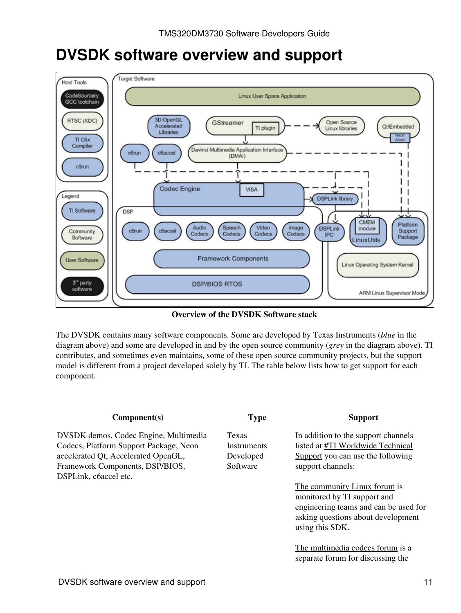# <span id="page-10-0"></span>**DVSDK software overview and support**



**Overview of the DVSDK Software stack**

The DVSDK contains many software components. Some are developed by Texas Instruments (*blue* in the diagram above) and some are developed in and by the open source community (*grey* in the diagram above). TI contributes, and sometimes even maintains, some of these open source community projects, but the support model is different from a project developed solely by TI. The table below lists how to get support for each component.

| Component(s)                                                                                                                                                                       | <b>Type</b>                                          | <b>Support</b>                                                                                                                                                |
|------------------------------------------------------------------------------------------------------------------------------------------------------------------------------------|------------------------------------------------------|---------------------------------------------------------------------------------------------------------------------------------------------------------------|
| DVSDK demos, Codec Engine, Multimedia<br>Codecs, Platform Support Package, Neon<br>accelerated Qt, Accelerated OpenGL,<br>Framework Components, DSP/BIOS,<br>DSPLink, c6accel etc. | <b>Texas</b><br>Instruments<br>Developed<br>Software | In addition to the support channels<br>listed at #TI Worldwide Technical<br>Support you can use the following<br>support channels:                            |
|                                                                                                                                                                                    |                                                      | The community Linux forum is<br>monitored by TI support and<br>engineering teams and can be used for<br>asking questions about development<br>using this SDK. |
|                                                                                                                                                                                    |                                                      | The multimedia codecs forum is a<br>separate forum for discussing the                                                                                         |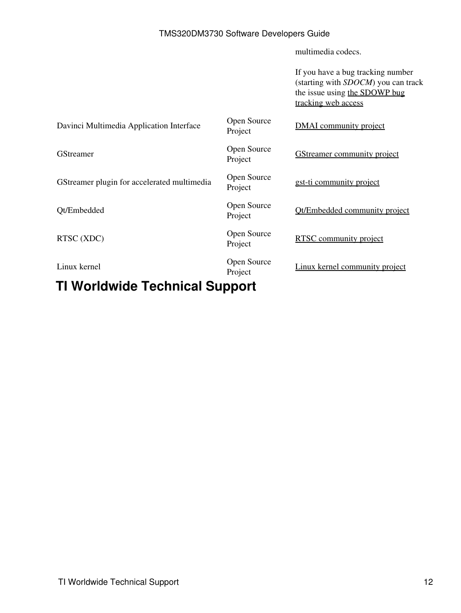multimedia codecs.

If you have a bug tracking number (starting with *SDOCM*) you can track the issue using [the SDOWP bug](https://cqweb.ext.ti.com/cqweb/main?command=GenerateMainFrame&service=CQ&schema=SDo-Web&contextid=SDOWP&username=readonly&password=readonly) [tracking web access](https://cqweb.ext.ti.com/cqweb/main?command=GenerateMainFrame&service=CQ&schema=SDo-Web&contextid=SDOWP&username=readonly&password=readonly)

| Davinci Multimedia Application Interface    | Open Source<br>Project | <b>DMAI</b> community project      |
|---------------------------------------------|------------------------|------------------------------------|
| <b>GStreamer</b>                            | Open Source<br>Project | <b>GStreamer community project</b> |
| GStreamer plugin for accelerated multimedia | Open Source<br>Project | gst-ti community project           |
| Qt/Embedded                                 | Open Source<br>Project | Ot/Embedded community project      |
| RTSC (XDC)                                  | Open Source<br>Project | <b>RTSC</b> community project      |
| Linux kernel                                | Open Source<br>Project | Linux kernel community project     |

## <span id="page-11-0"></span>**TI Worldwide Technical Support**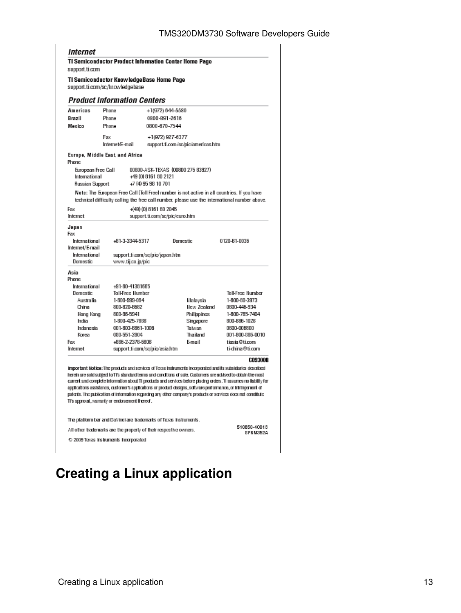#### Internet

**TI Semiconductor Product Information Center Home Page** support.ti.com

TI Semiconductor KnowledgeBase Home Page support.ti.com/sc/knowledgebase

#### **Product Information Centers**

| Americas                                                      | Phone           |                     | +1(972) 644-5580                                                  |                                    |                                                                                                                                                                                                                                                                                                                                                                                                                                                                           |
|---------------------------------------------------------------|-----------------|---------------------|-------------------------------------------------------------------|------------------------------------|---------------------------------------------------------------------------------------------------------------------------------------------------------------------------------------------------------------------------------------------------------------------------------------------------------------------------------------------------------------------------------------------------------------------------------------------------------------------------|
| Brazil                                                        | Phone           |                     | 0800-891-2616                                                     |                                    |                                                                                                                                                                                                                                                                                                                                                                                                                                                                           |
| Mexico                                                        | Phone           |                     | 0800-670-7544                                                     |                                    |                                                                                                                                                                                                                                                                                                                                                                                                                                                                           |
|                                                               | Fax             |                     | +1(972) 927-6377                                                  |                                    |                                                                                                                                                                                                                                                                                                                                                                                                                                                                           |
|                                                               | Internet/E-mail |                     |                                                                   | support.fi.com/sc/pic/americas.htm |                                                                                                                                                                                                                                                                                                                                                                                                                                                                           |
| Europe, Middle East and Africa<br>Phone                       |                 |                     |                                                                   |                                    |                                                                                                                                                                                                                                                                                                                                                                                                                                                                           |
| European Free Call<br>International<br><b>Russian Support</b> |                 | +7 (4) 95 98 10 701 | 00800-ASK-TEXAS (00800 275 83927)<br>+49 (0) 8161 80 2121         |                                    |                                                                                                                                                                                                                                                                                                                                                                                                                                                                           |
|                                                               |                 |                     |                                                                   |                                    | Note: The European Free Call (Toll Free) number is not active in all countries. If you have<br>technical difficulty calling the free call number, please use the international number above.                                                                                                                                                                                                                                                                              |
| Fax                                                           |                 |                     | +(49) (0) 8161 80 2045                                            |                                    |                                                                                                                                                                                                                                                                                                                                                                                                                                                                           |
| Internet                                                      |                 |                     | support.ti.com/sc/pic/euro.htm                                    |                                    |                                                                                                                                                                                                                                                                                                                                                                                                                                                                           |
| Japan<br>Earc                                                 |                 |                     |                                                                   |                                    |                                                                                                                                                                                                                                                                                                                                                                                                                                                                           |
| International<br>Internet/E-mail                              |                 | +61-3-3344-5317     |                                                                   | Domestic                           | 0120-81-0036                                                                                                                                                                                                                                                                                                                                                                                                                                                              |
| International                                                 |                 |                     | support.ti.com/sc/pic/japan.htm                                   |                                    |                                                                                                                                                                                                                                                                                                                                                                                                                                                                           |
| Domestic                                                      |                 | www.tij.co.jp/pic   |                                                                   |                                    |                                                                                                                                                                                                                                                                                                                                                                                                                                                                           |
| Asia                                                          |                 |                     |                                                                   |                                    |                                                                                                                                                                                                                                                                                                                                                                                                                                                                           |
| Phone                                                         |                 |                     |                                                                   |                                    |                                                                                                                                                                                                                                                                                                                                                                                                                                                                           |
| International                                                 |                 | +91-80-41381665     |                                                                   |                                    |                                                                                                                                                                                                                                                                                                                                                                                                                                                                           |
| <b>Domestic</b>                                               |                 | Toll-Free Number    |                                                                   |                                    | <b>Toll-Free Number</b>                                                                                                                                                                                                                                                                                                                                                                                                                                                   |
| Australia                                                     |                 | 1-800-999-064       |                                                                   | Malaysia                           | 1-800-80-3973                                                                                                                                                                                                                                                                                                                                                                                                                                                             |
| China                                                         |                 | 800-820-8682        |                                                                   | <b>New Zealand</b>                 | 0600-446-934                                                                                                                                                                                                                                                                                                                                                                                                                                                              |
| Hong Kong                                                     |                 | 800-96-5941         |                                                                   | Philippines                        | 1-800-765-7404                                                                                                                                                                                                                                                                                                                                                                                                                                                            |
| India                                                         |                 | 1-800-425-7888      |                                                                   | Singapore                          | 800-886-1028                                                                                                                                                                                                                                                                                                                                                                                                                                                              |
| Indonesia                                                     |                 | 001-803-8861-1006   |                                                                   | Taiwan                             | 0800-006800                                                                                                                                                                                                                                                                                                                                                                                                                                                               |
| Korea                                                         |                 | 060-551-2804        |                                                                   | Thailand                           | 001-800-886-0010                                                                                                                                                                                                                                                                                                                                                                                                                                                          |
| Fax                                                           |                 | +666-2-2378-6808    |                                                                   | F-mail                             | tiasia@ti.com                                                                                                                                                                                                                                                                                                                                                                                                                                                             |
| Internet                                                      |                 |                     | support.ti.com/sc/pic/asia.htm                                    |                                    | ti-china@ti.com                                                                                                                                                                                                                                                                                                                                                                                                                                                           |
|                                                               |                 |                     |                                                                   |                                    | <b>C093008</b>                                                                                                                                                                                                                                                                                                                                                                                                                                                            |
|                                                               |                 |                     |                                                                   |                                    | Important Notice: The products and services of Texas Instruments incorporated and its subsidiaries described                                                                                                                                                                                                                                                                                                                                                              |
| This approval, warranty or endorsement thereof.               |                 |                     |                                                                   |                                    | herein are sold subject to TI's standard terms and conditions of sale. Customers are advised to dotain the most<br>current and complete information about 11 products and services before plading orders. Ti assumes no ilability for<br>applications assistance, customer's applications or product designs , software performance, or infringement of<br>patents. The publication of information regarding any other company's products or services does not constitute |
|                                                               |                 |                     | The platform bar and DaYinci are trademarks of Texas instruments. |                                    |                                                                                                                                                                                                                                                                                                                                                                                                                                                                           |

All other trademarks are the property of their respective owners.

510850-40018<br>SPRM352A

Τ

© 2009 Texas Instruments Incorporated

# <span id="page-12-0"></span>**Creating a Linux application**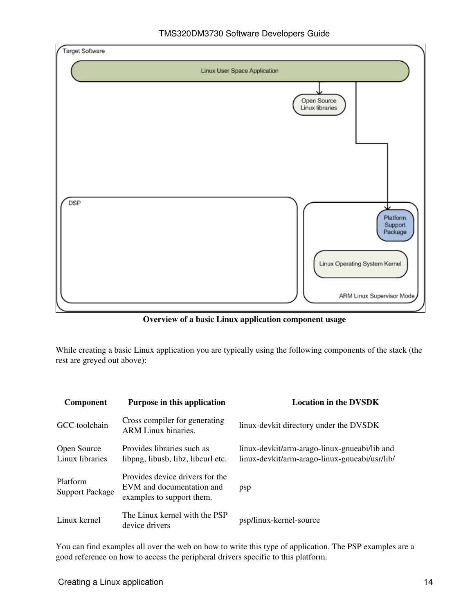

**Overview of a basic Linux application component usage**

While creating a basic Linux application you are typically using the following components of the stack (the rest are greyed out above):

| <b>Component</b>                   | Purpose in this application                                                               | <b>Location in the DVSDK</b>                                                                  |
|------------------------------------|-------------------------------------------------------------------------------------------|-----------------------------------------------------------------------------------------------|
| GCC toolchain                      | Cross compiler for generating<br><b>ARM Linux binaries.</b>                               | linux-devkit directory under the DVSDK                                                        |
| Open Source<br>Linux libraries     | Provides libraries such as<br>libpng, libusb, libz, libcurl etc.                          | linux-devkit/arm-arago-linux-gnueabi/lib and<br>linux-devkit/arm-arago-linux-gnueabi/usr/lib/ |
| Platform<br><b>Support Package</b> | Provides device drivers for the<br>EVM and documentation and<br>examples to support them. | psp                                                                                           |
| Linux kernel                       | The Linux kernel with the PSP<br>device drivers                                           | psp/linux-kernel-source                                                                       |

You can find examples all over the web on how to write this type of application. The PSP examples are a good reference on how to access the peripheral drivers specific to this platform.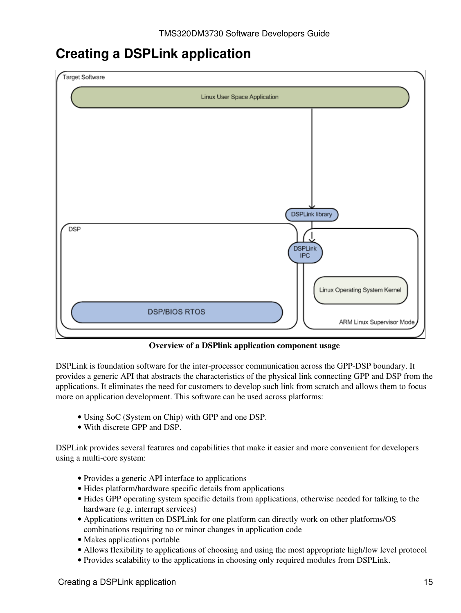## <span id="page-14-0"></span>**Creating a DSPLink application**



**Overview of a DSPlink application component usage**

DSPLink is foundation software for the inter-processor communication across the GPP-DSP boundary. It provides a generic API that abstracts the characteristics of the physical link connecting GPP and DSP from the applications. It eliminates the need for customers to develop such link from scratch and allows them to focus more on application development. This software can be used across platforms:

- Using SoC (System on Chip) with GPP and one DSP.
- With discrete GPP and DSP.

DSPLink provides several features and capabilities that make it easier and more convenient for developers using a multi-core system:

- Provides a generic API interface to applications
- Hides platform/hardware specific details from applications
- Hides GPP operating system specific details from applications, otherwise needed for talking to the hardware (e.g. interrupt services)
- Applications written on DSPLink for one platform can directly work on other platforms/OS combinations requiring no or minor changes in application code
- Makes applications portable
- Allows flexibility to applications of choosing and using the most appropriate high/low level protocol
- Provides scalability to the applications in choosing only required modules from DSPLink.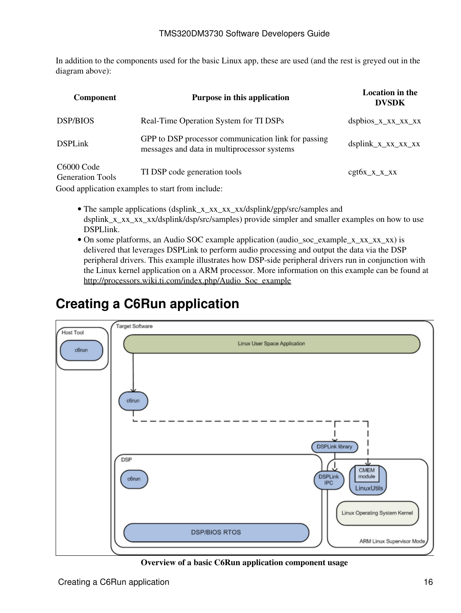In addition to the components used for the basic Linux app, these are used (and the rest is greyed out in the diagram above):

| <b>Component</b>                                  | Purpose in this application                                                                        | <b>Location in the</b><br><b>DVSDK</b> |
|---------------------------------------------------|----------------------------------------------------------------------------------------------------|----------------------------------------|
| <b>DSP/BIOS</b>                                   | Real-Time Operation System for TI DSPs                                                             | $dsphios_x_xx_xx_xx_xx$                |
| <b>DSPLink</b>                                    | GPP to DSP processor communication link for passing<br>messages and data in multiprocessor systems | $dsplink_x_xx_xx_xx_xx$                |
| C <sub>6000</sub> Code<br><b>Generation Tools</b> | TI DSP code generation tools                                                                       | $cgt6x_x_x_x_x$                        |
|                                                   | Good application examples to start from include:                                                   |                                        |

- The sample applications (dsplink\_x\_xx\_xx\_xx/dsplink/gpp/src/samples and dsplink\_x\_xx\_xx/dsplink/dsp/src/samples) provide simpler and smaller examples on how to use DSPLlink.
- On some platforms, an Audio SOC example application (audio\_soc\_example\_x\_xx\_xx\_xx) is delivered that leverages DSPLink to perform audio processing and output the data via the DSP peripheral drivers. This example illustrates how DSP-side peripheral drivers run in conjunction with the Linux kernel application on a ARM processor. More information on this example can be found at [http://processors.wiki.ti.com/index.php/Audio\\_Soc\\_example](http://processors.wiki.ti.com/index.php/Audio_Soc_example)

# <span id="page-15-0"></span>**Creating a C6Run application**



**Overview of a basic C6Run application component usage**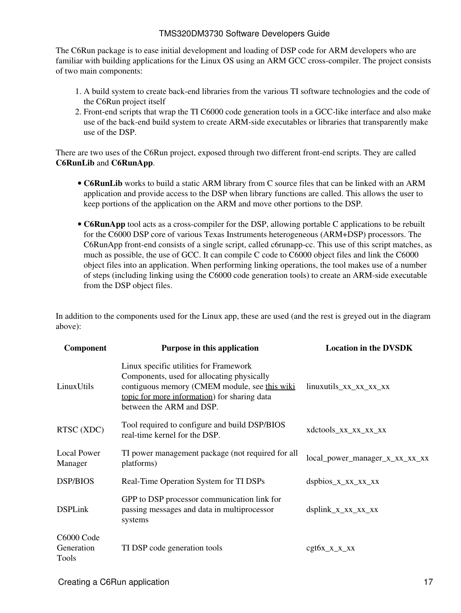The C6Run package is to ease initial development and loading of DSP code for ARM developers who are familiar with building applications for the Linux OS using an ARM GCC cross-compiler. The project consists of two main components:

- 1. A build system to create back-end libraries from the various TI software technologies and the code of the C6Run project itself
- 2. Front-end scripts that wrap the TI C6000 code generation tools in a GCC-like interface and also make use of the back-end build system to create ARM-side executables or libraries that transparently make use of the DSP.

There are two uses of the C6Run project, exposed through two different front-end scripts. They are called **C6RunLib** and **C6RunApp**.

- C6RunLib works to build a static ARM library from C source files that can be linked with an ARM application and provide access to the DSP when library functions are called. This allows the user to keep portions of the application on the ARM and move other portions to the DSP.
- C6RunApp tool acts as a cross-compiler for the DSP, allowing portable C applications to be rebuilt for the C6000 DSP core of various Texas Instruments heterogeneous (ARM+DSP) processors. The C6RunApp front-end consists of a single script, called c6runapp-cc. This use of this script matches, as much as possible, the use of GCC. It can compile C code to C6000 object files and link the C6000 object files into an application. When performing linking operations, the tool makes use of a number of steps (including linking using the C6000 code generation tools) to create an ARM-side executable from the DSP object files.

In addition to the components used for the Linux app, these are used (and the rest is greyed out in the diagram above):

| Component                         | Purpose in this application                                                                                                                                                                                       | <b>Location in the DVSDK</b>   |
|-----------------------------------|-------------------------------------------------------------------------------------------------------------------------------------------------------------------------------------------------------------------|--------------------------------|
| LinuxUtils                        | Linux specific utilities for Framework<br>Components, used for allocating physically<br>contiguous memory (CMEM module, see this wiki<br>topic for more information) for sharing data<br>between the ARM and DSP. | linuxutils_xx_xx_xx_xx         |
| RTSC (XDC)                        | Tool required to configure and build DSP/BIOS<br>real-time kernel for the DSP.                                                                                                                                    | xdctools_xx_xx_xx_xx           |
| Local Power<br>Manager            | TI power management package (not required for all<br>platforms)                                                                                                                                                   | local_power_manager_x_xx_xx_xx |
| <b>DSP/BIOS</b>                   | Real-Time Operation System for TI DSPs                                                                                                                                                                            | $dsphios_x_xx_xx_xx_xx$        |
| <b>DSPLink</b>                    | GPP to DSP processor communication link for<br>passing messages and data in multiprocessor<br>systems                                                                                                             | $dsplink_x_xx_xx_xx_xx$        |
| C6000 Code<br>Generation<br>Tools | TI DSP code generation tools                                                                                                                                                                                      | $cgt6x_x_x_x_x$                |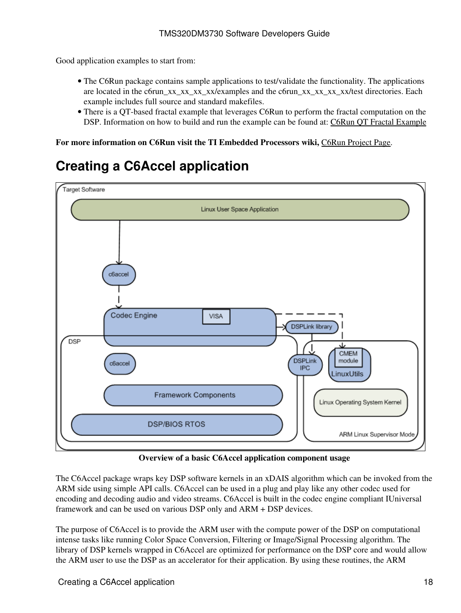Good application examples to start from:

- The C6Run package contains sample applications to test/validate the functionality. The applications are located in the c6run\_xx\_xx\_xx\_xx\_xx\_xx\_xamples and the c6run\_xx\_xx\_xx\_xx\_xx\test directories. Each example includes full source and standard makefiles.
- There is a QT-based fractal example that leverages C6Run to perform the fractal computation on the DSP. Information on how to build and run the example can be found at: [C6Run QT Fractal Example](http://processors.wiki.ti.com/index.php/C6Run_QT_Fractal_Example)

**For more information on C6Run visit the TI Embedded Processors wiki,** [C6Run Project Page](http://processors.wiki.ti.com/index.php/C6Run_Project).

# <span id="page-17-0"></span>**Creating a C6Accel application**



**Overview of a basic C6Accel application component usage**

The C6Accel package wraps key DSP software kernels in an xDAIS algorithm which can be invoked from the ARM side using simple API calls. C6Accel can be used in a plug and play like any other codec used for encoding and decoding audio and video streams. C6Accel is built in the codec engine compliant IUniversal framework and can be used on various DSP only and ARM + DSP devices.

The purpose of C6Accel is to provide the ARM user with the compute power of the DSP on computational intense tasks like running Color Space Conversion, Filtering or Image/Signal Processing algorithm. The library of DSP kernels wrapped in C6Accel are optimized for performance on the DSP core and would allow the ARM user to use the DSP as an accelerator for their application. By using these routines, the ARM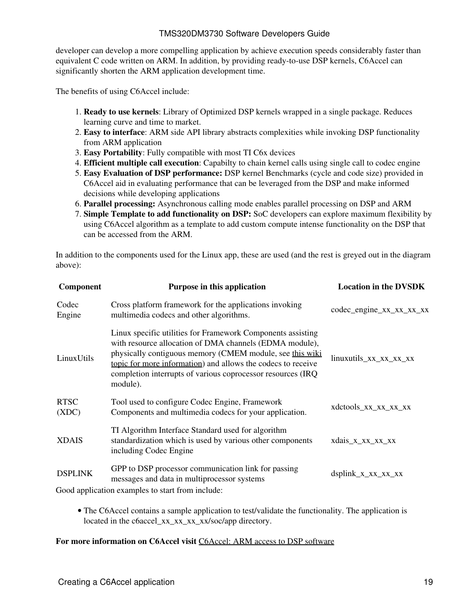developer can develop a more compelling application by achieve execution speeds considerably faster than equivalent C code written on ARM. In addition, by providing ready-to-use DSP kernels, C6Accel can significantly shorten the ARM application development time.

The benefits of using C6Accel include:

- **Ready to use kernels**: Library of Optimized DSP kernels wrapped in a single package. Reduces 1. learning curve and time to market.
- **Easy to interface**: ARM side API library abstracts complexities while invoking DSP functionality 2. from ARM application
- 3. **Easy Portability**: Fully compatible with most TI C6x devices
- 4. **Efficient multiple call execution**: Capabilty to chain kernel calls using single call to codec engine
- **Easy Evaluation of DSP performance:** DSP kernel Benchmarks (cycle and code size) provided in 5. C6Accel aid in evaluating performance that can be leveraged from the DSP and make informed decisions while developing applications
- 6. **Parallel processing:** Asynchronous calling mode enables parallel processing on DSP and ARM
- **Simple Template to add functionality on DSP:** SoC developers can explore maximum flexibility by 7. using C6Accel algorithm as a template to add custom compute intense functionality on the DSP that can be accessed from the ARM.

In addition to the components used for the Linux app, these are used (and the rest is greyed out in the diagram above):

| Component            | Purpose in this application                                                                                                                                                                                                                                                                                                   | <b>Location in the DVSDK</b> |
|----------------------|-------------------------------------------------------------------------------------------------------------------------------------------------------------------------------------------------------------------------------------------------------------------------------------------------------------------------------|------------------------------|
| Codec<br>Engine      | Cross platform framework for the applications invoking<br>multimedia codecs and other algorithms.                                                                                                                                                                                                                             | codec_engine_xx_xx_xx_xx     |
| LinuxUtils           | Linux specific utilities for Framework Components assisting<br>with resource allocation of DMA channels (EDMA module),<br>physically contiguous memory (CMEM module, see this wiki<br>topic for more information) and allows the codecs to receive<br>completion interrupts of various coprocessor resources (IRQ<br>module). | linuxutils_xx_xx_xx_xx       |
| <b>RTSC</b><br>(XDC) | Tool used to configure Codec Engine, Framework<br>Components and multimedia codecs for your application.                                                                                                                                                                                                                      | xdctools_xx_xx_xx_xx         |
| <b>XDAIS</b>         | TI Algorithm Interface Standard used for algorithm<br>standardization which is used by various other components<br>including Codec Engine                                                                                                                                                                                     | xdais_x_xx_xx_xx             |
| <b>DSPLINK</b>       | GPP to DSP processor communication link for passing<br>messages and data in multiprocessor systems                                                                                                                                                                                                                            | $dsplink_x_xx_xx_xx_xx$      |
|                      | Good application examples to start from include:                                                                                                                                                                                                                                                                              |                              |

• The C6Accel contains a sample application to test/validate the functionality. The application is located in the c6accel xx\_xx\_xx\_xx/soc/app directory.

#### **For more information on C6Accel visit** [C6Accel: ARM access to DSP software](http://processors.wiki.ti.com/index.php/C6Accel:_ARM_access_to_DSP_software_on_TI_SoCs)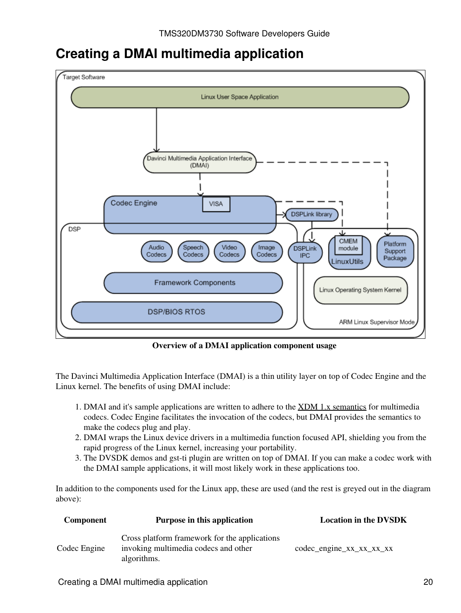## <span id="page-19-0"></span>**Creating a DMAI multimedia application**



**Overview of a DMAI application component usage**

The Davinci Multimedia Application Interface (DMAI) is a thin utility layer on top of Codec Engine and the Linux kernel. The benefits of using DMAI include:

- 1. DMAI and it's sample applications are written to adhere to the [XDM 1.x semantics](http://processors.wiki.ti.com/index.php/XDM_1.x_Semantics) for multimedia codecs. Codec Engine facilitates the invocation of the codecs, but DMAI provides the semantics to make the codecs plug and play.
- 2. DMAI wraps the Linux device drivers in a multimedia function focused API, shielding you from the rapid progress of the Linux kernel, increasing your portability.
- 3. The DVSDK demos and gst-ti plugin are written on top of DMAI. If you can make a codec work with the DMAI sample applications, it will most likely work in these applications too.

In addition to the components used for the Linux app, these are used (and the rest is greyed out in the diagram above):

| Component    | Purpose in this application                                                                          | <b>Location in the DVSDK</b>     |
|--------------|------------------------------------------------------------------------------------------------------|----------------------------------|
| Codec Engine | Cross platform framework for the applications<br>invoking multimedia codecs and other<br>algorithms. | $codec$ -engine $xx_xx_xx_xx_xx$ |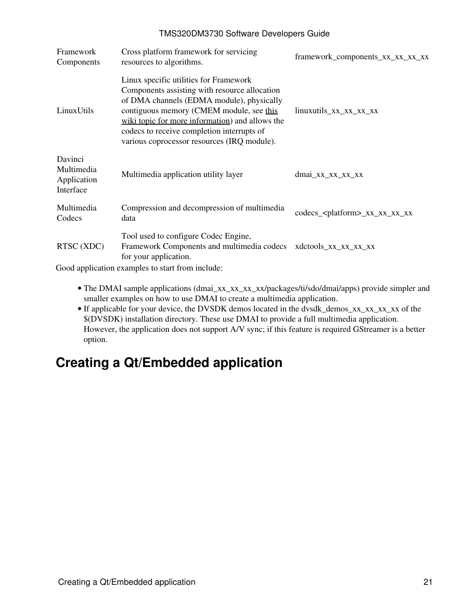| Framework<br>Components                           | Cross platform framework for servicing<br>resources to algorithms.                                                                                                                                                                                                                                                               | framework_components_xx_xx_xx_xx          |
|---------------------------------------------------|----------------------------------------------------------------------------------------------------------------------------------------------------------------------------------------------------------------------------------------------------------------------------------------------------------------------------------|-------------------------------------------|
| LinuxUtils                                        | Linux specific utilities for Framework<br>Components assisting with resource allocation<br>of DMA channels (EDMA module), physically<br>contiguous memory (CMEM module, see this<br>wiki topic for more information) and allows the<br>codecs to receive completion interrupts of<br>various coprocessor resources (IRQ module). | $linuxutils_{xx_{xx_{xx}}xx_{xx}}$        |
| Davinci<br>Multimedia<br>Application<br>Interface | Multimedia application utility layer                                                                                                                                                                                                                                                                                             | $dmai_xx_xxx_xxx_x$                       |
| Multimedia<br>Codecs                              | Compression and decompression of multimedia<br>data                                                                                                                                                                                                                                                                              | codecs_ <platform>_xx_xx_xx_xx</platform> |
| RTSC (XDC)<br>$\sim$ 1 1 $\cdot$                  | Tool used to configure Codec Engine,<br>Framework Components and multimedia codecs<br>for your application.                                                                                                                                                                                                                      | xdctools_xx_xx_xx_xx                      |

Good application examples to start from include:

- The DMAI sample applications (dmai\_xx\_xx\_xx\_xx/packages/ti/sdo/dmai/apps) provide simpler and smaller examples on how to use DMAI to create a multimedia application.
- If applicable for your device, the DVSDK demos located in the dvsdk\_demos\_xx\_xx\_xx\_xx of the \$(DVSDK) installation directory. These use DMAI to provide a full multimedia application. However, the application does not support A/V sync; if this feature is required GStreamer is a better option.

# <span id="page-20-0"></span>**Creating a Qt/Embedded application**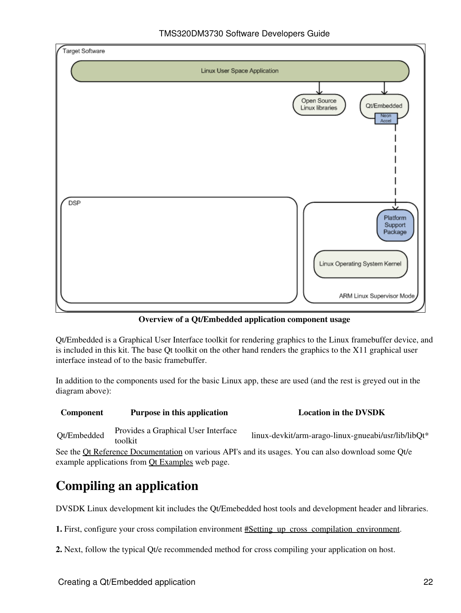

**Overview of a Qt/Embedded application component usage**

Qt/Embedded is a Graphical User Interface toolkit for rendering graphics to the Linux framebuffer device, and is included in this kit. The base Qt toolkit on the other hand renders the graphics to the X11 graphical user interface instead of to the basic framebuffer.

In addition to the components used for the basic Linux app, these are used (and the rest is greyed out in the diagram above):

### **Component Purpose in this application Location Location in the DVSDK** Qt/Embedded Provides a Graphical User Interface linux-devkit/arm-arago-linux-gnueabi/usr/lib/libQt\*

See the [Qt Reference Documentation](http://doc.trolltech.com/4.6/index.html) on various API's and its usages. You can also download some Qt/e example applications from **Qt Examples** web page.

# **Compiling an application**

DVSDK Linux development kit includes the Qt/Emebedded host tools and development header and libraries.

**1.** First, configure your cross compilation environment #Setting up cross compilation environment.

**2.** Next, follow the typical Qt/e recommended method for cross compiling your application on host.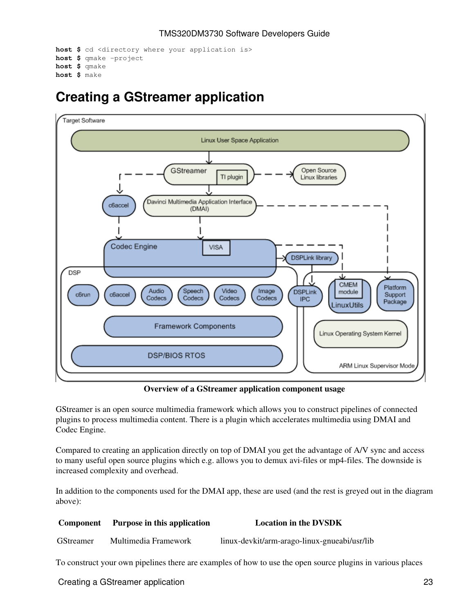```
host $ cd <directory where your application is>
host $ qmake -project
host $ qmake
host $ make
```
## <span id="page-22-0"></span>**Creating a GStreamer application**



**Overview of a GStreamer application component usage**

GStreamer is an open source multimedia framework which allows you to construct pipelines of connected plugins to process multimedia content. There is a plugin which accelerates multimedia using DMAI and Codec Engine.

Compared to creating an application directly on top of DMAI you get the advantage of A/V sync and access to many useful open source plugins which e.g. allows you to demux avi-files or mp4-files. The downside is increased complexity and overhead.

In addition to the components used for the DMAI app, these are used (and the rest is greyed out in the diagram above):

| <b>Component</b> | Purpose in this application | <b>Location in the DVSDK</b>                 |
|------------------|-----------------------------|----------------------------------------------|
| <b>GStreamer</b> | Multimedia Framework        | linux-devkit/arm-arago-linux-gnueabi/usr/lib |
|                  |                             |                                              |

To construct your own pipelines there are examples of how to use the open source plugins in various places

Creating a GStreamer application 23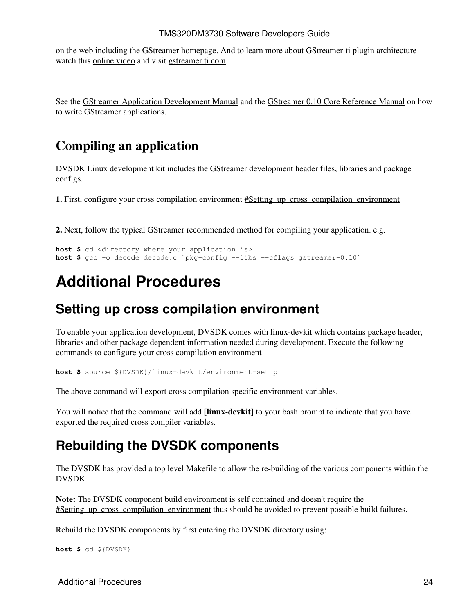on the web including the GStreamer homepage. And to learn more about GStreamer-ti plugin architecture watch this [online video](http://software-dl.ti.com/sdo/sdo_apps_public_sw/GStreamer_On_TI/FLV1/GStreamer_On_TI.htm) and visit [gstreamer.ti.com](http://gstreamer.ti.com).

See the [GStreamer Application Development Manual](http://www.gstreamer.net/data/doc/gstreamer/head/manual/html/index.html) and the [GStreamer 0.10 Core Reference Manual](http://gstreamer.freedesktop.org/data/doc/gstreamer/head/gstreamer/html) on how to write GStreamer applications.

### **Compiling an application**

DVSDK Linux development kit includes the GStreamer development header files, libraries and package configs.

**1.** First, configure your cross compilation environment  $\#$ Setting up cross compilation environment

**2.** Next, follow the typical GStreamer recommended method for compiling your application. e.g.

```
host $ cd <directory where your application is>
host $ gcc -o decode decode.c `pkg-config --libs --cflags gstreamer-0.10`
```
# <span id="page-23-0"></span>**Additional Procedures**

### <span id="page-23-1"></span>**Setting up cross compilation environment**

To enable your application development, DVSDK comes with linux-devkit which contains package header, libraries and other package dependent information needed during development. Execute the following commands to configure your cross compilation environment

**host \$** source \${DVSDK}/linux-devkit/environment-setup

The above command will export cross compilation specific environment variables.

You will notice that the command will add **[linux-devkit]** to your bash prompt to indicate that you have exported the required cross compiler variables.

## <span id="page-23-2"></span>**Rebuilding the DVSDK components**

The DVSDK has provided a top level Makefile to allow the re-building of the various components within the DVSDK.

**Note:** The DVSDK component build environment is self contained and doesn't require the #Setting up cross compilation environment thus should be avoided to prevent possible build failures.

Rebuild the DVSDK components by first entering the DVSDK directory using:

**host \$** cd \${DVSDK}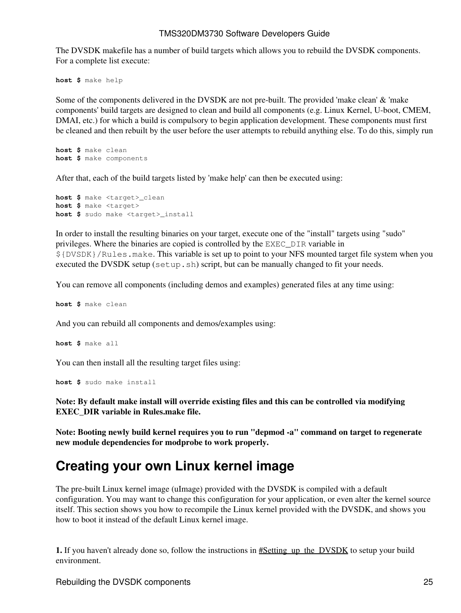The DVSDK makefile has a number of build targets which allows you to rebuild the DVSDK components. For a complete list execute:

**host \$** make help

Some of the components delivered in the DVSDK are not pre-built. The provided 'make clean' & 'make components' build targets are designed to clean and build all components (e.g. Linux Kernel, U-boot, CMEM, DMAI, etc.) for which a build is compulsory to begin application development. These components must first be cleaned and then rebuilt by the user before the user attempts to rebuild anything else. To do this, simply run

**host \$** make clean **host \$** make components

After that, each of the build targets listed by 'make help' can then be executed using:

**host \$** make <target>\_clean **host \$** make <target> **host \$** sudo make <target>\_install

In order to install the resulting binaries on your target, execute one of the "install" targets using "sudo" privileges. Where the binaries are copied is controlled by the EXEC\_DIR variable in \${DVSDK}/Rules.make. This variable is set up to point to your NFS mounted target file system when you executed the DVSDK setup (setup.sh) script, but can be manually changed to fit your needs.

You can remove all components (including demos and examples) generated files at any time using:

**host \$** make clean

And you can rebuild all components and demos/examples using:

**host \$** make all

You can then install all the resulting target files using:

**host \$** sudo make install

**Note: By default make install will override existing files and this can be controlled via modifying EXEC\_DIR variable in Rules.make file.**

**Note: Booting newly build kernel requires you to run "depmod -a" command on target to regenerate new module dependencies for modprobe to work properly.**

## <span id="page-24-0"></span>**Creating your own Linux kernel image**

The pre-built Linux kernel image (uImage) provided with the DVSDK is compiled with a default configuration. You may want to change this configuration for your application, or even alter the kernel source itself. This section shows you how to recompile the Linux kernel provided with the DVSDK, and shows you how to boot it instead of the default Linux kernel image.

**1.** If you haven't already done so, follow the instructions in  $\#Setting$  up the DVSDK to setup your build environment.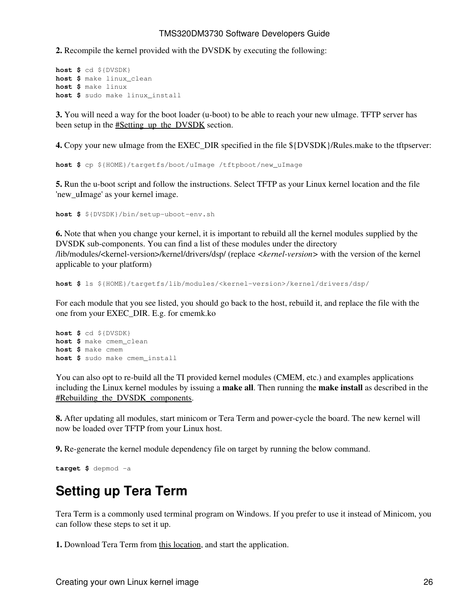**2.** Recompile the kernel provided with the DVSDK by executing the following:

```
host $ cd ${DVSDK}
host $ make linux_clean
host $ make linux
host $ sudo make linux_install
```
**3.** You will need a way for the boot loader (u-boot) to be able to reach your new uImage. TFTP server has been setup in the [#Setting\\_up\\_the\\_DVSDK](#page-1-2) section.

**4.** Copy your new uImage from the EXEC DIR specified in the file  $\frac{1}{2}$ [DVSDK}/Rules.make to the tftpserver:

**host \$** cp \${HOME}/targetfs/boot/uImage /tftpboot/new\_uImage

**5.** Run the u-boot script and follow the instructions. Select TFTP as your Linux kernel location and the file 'new\_uImage' as your kernel image.

**host \$** \${DVSDK}/bin/setup-uboot-env.sh

**6.** Note that when you change your kernel, it is important to rebuild all the kernel modules supplied by the DVSDK sub-components. You can find a list of these modules under the directory /lib/modules/<kernel-version>/kernel/drivers/dsp/ (replace *<kernel-version>* with the version of the kernel applicable to your platform)

**host \$** ls \${HOME}/targetfs/lib/modules/<kernel-version>/kernel/drivers/dsp/

For each module that you see listed, you should go back to the host, rebuild it, and replace the file with the one from your EXEC\_DIR. E.g. for cmemk.ko

```
host $ cd ${DVSDK}
host $ make cmem_clean
host $ make cmem
host $ sudo make cmem_install
```
You can also opt to re-build all the TI provided kernel modules (CMEM, etc.) and examples applications including the Linux kernel modules by issuing a **make all**. Then running the **make install** as described in the #Rebuilding the DVSDK components.

**8.** After updating all modules, start minicom or Tera Term and power-cycle the board. The new kernel will now be loaded over TFTP from your Linux host.

**9.** Re-generate the kernel module dependency file on target by running the below command.

```
target $ depmod -a
```
## <span id="page-25-0"></span>**Setting up Tera Term**

Tera Term is a commonly used terminal program on Windows. If you prefer to use it instead of Minicom, you can follow these steps to set it up.

**1.** Download Tera Term from [this location](http://hp.vector.co.jp/authors/VA002416/ttermp23.zip), and start the application.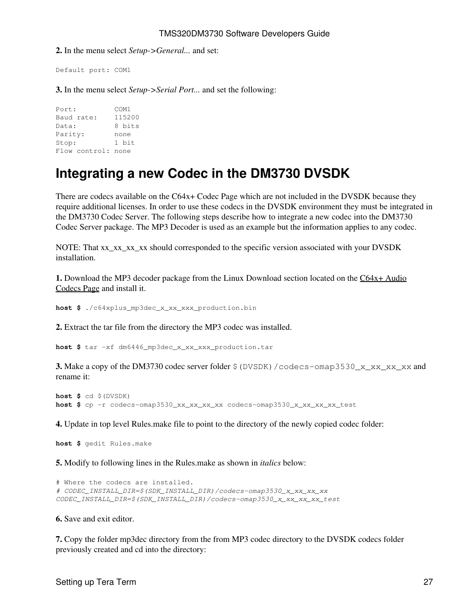**2.** In the menu select *Setup->General...* and set:

Default port: COM1

**3.** In the menu select *Setup->Serial Port...* and set the following:

Port: COM1 Baud rate: 115200<br>Data: 8 bits Data: Parity: none Stop: 1 bit Flow control: none

## <span id="page-26-0"></span>**Integrating a new Codec in the DM3730 DVSDK**

There are codecs available on the C64x+ Codec Page which are not included in the DVSDK because they require additional licenses. In order to use these codecs in the DVSDK environment they must be integrated in the DM3730 Codec Server. The following steps describe how to integrate a new codec into the DM3730 Codec Server package. The MP3 Decoder is used as an example but the information applies to any codec.

NOTE: That xx\_xx\_xx\_xx should corresponded to the specific version associated with your DVSDK installation.

**1.** Download the MP3 decoder package from the Linux Download section located on the [C64x+ Audio](http://software-dl.ti.com/dsps/dsps_public_sw/codecs/C64XPlus_Audio/index_FDS.html) [Codecs Page](http://software-dl.ti.com/dsps/dsps_public_sw/codecs/C64XPlus_Audio/index_FDS.html) and install it.

**host \$** ./c64xplus\_mp3dec\_x\_xx\_xxx\_production.bin

**2.** Extract the tar file from the directory the MP3 codec was installed.

**host \$** tar -xf dm6446\_mp3dec\_x\_xx\_xxx\_production.tar

**3.** Make a copy of the DM3730 codec server folder  $\frac{1}{2}$  (DVSDK) /codecs-omap3530\_x\_xx\_xx\_xx and rename it:

```
host $ cd $(DVSDK)
host $ cp -r codecs-omap3530_xx_xx_xx_xx codecs-omap3530_x_xx_xx_xx_test
```
**4.** Update in top level Rules.make file to point to the directory of the newly copied codec folder:

**host \$** gedit Rules.make

**5.** Modify to following lines in the Rules.make as shown in *italics* below:

```
# Where the codecs are installed.
# CODEC_INSTALL_DIR=$(SDK_INSTALL_DIR)/codecs-omap3530_x_xx_xx_xx
CODEC_INSTALL_DIR=$(SDK_INSTALL_DIR)/codecs-omap3530_x_xx_xx_xx_test
```
**6.** Save and exit editor.

**7.** Copy the folder mp3dec directory from the from MP3 codec directory to the DVSDK codecs folder previously created and cd into the directory: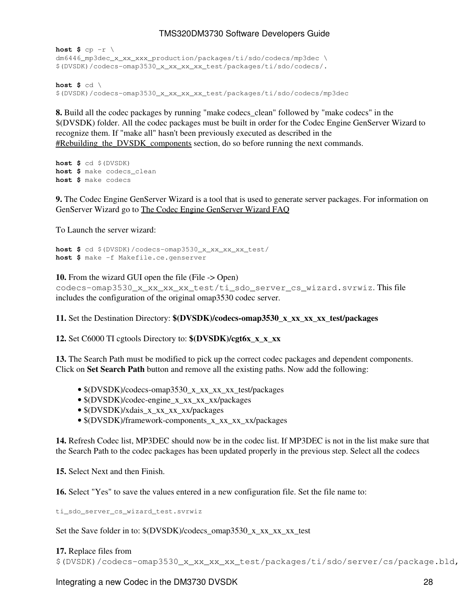host  $$$  cp  $-r \backslash$ dm6446\_mp3dec\_x\_xx\_xxx\_production/packages/ti/sdo/codecs/mp3dec \ \$(DVSDK)/codecs-omap3530\_x\_xx\_xx\_xx\_test/packages/ti/sdo/codecs/.

**host \$** cd \ \$(DVSDK)/codecs-omap3530\_x\_xx\_xx\_xx\_test/packages/ti/sdo/codecs/mp3dec

**8.** Build all the codec packages by running "make codecs\_clean" followed by "make codecs" in the \$(DVSDK) folder. All the codec packages must be built in order for the Codec Engine GenServer Wizard to recognize them. If "make all" hasn't been previously executed as described in the #Rebuilding the DVSDK components section, do so before running the next commands.

```
host $ cd $(DVSDK)
host $ make codecs_clean
host $ make codecs
```
**9.** The Codec Engine GenServer Wizard is a tool that is used to generate server packages. For information on GenServer Wizard go to [The Codec Engine GenServer Wizard FAQ](http://processors.wiki.ti.com/index.php/Codec_Engine_GenServer_Wizard_FAQ)

To Launch the server wizard:

```
host $ cd $(DVSDK)/codecs-omap3530_x_xx_xx_xx_test/
host $ make -f Makefile.ce.genserver
```
**10.** From the wizard GUI open the file (File -> Open) codecs-omap3530\_x\_xx\_xx\_xx\_test/ti\_sdo\_server\_cs\_wizard.svrwiz. This file includes the configuration of the original omap3530 codec server.

**11.** Set the Destination Directory: **\$(DVSDK)/codecs-omap3530\_x\_xx\_xx\_xx\_test/packages**

**12.** Set C6000 TI cgtools Directory to: **\$(DVSDK)/cgt6x\_x\_x\_xx**

**13.** The Search Path must be modified to pick up the correct codec packages and dependent components. Click on **Set Search Path** button and remove all the existing paths. Now add the following:

- $(DVSDK)/codecs-omap3530XXXXXXX test/packages$
- \$(DVSDK)/codec-engine\_x\_xx\_xx\_xx/packages
- $(DVSDK)/x$ dais x xx xx xx/packages
- \$(DVSDK)/framework-components\_x\_xx\_xx\_xx/packages

**14.** Refresh Codec list, MP3DEC should now be in the codec list. If MP3DEC is not in the list make sure that the Search Path to the codec packages has been updated properly in the previous step. Select all the codecs

**15.** Select Next and then Finish.

**16.** Select "Yes" to save the values entered in a new configuration file. Set the file name to:

ti\_sdo\_server\_cs\_wizard\_test.svrwiz

Set the Save folder in to: \$(DVSDK)/codecs\_omap3530\_x\_xx\_xx\_xx\_test

#### **17.** Replace files from

\$(DVSDK)/codecs-omap3530\_x\_xx\_xx\_xx\_test/packages/ti/sdo/server/cs/package.bld,

Integrating a new Codec in the DM3730 DVSDK 20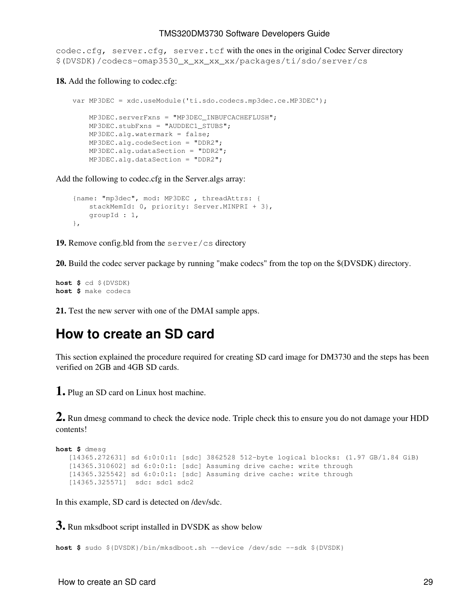codec.cfg, server.cfg, server.tcf with the ones in the original Codec Server directory \$(DVSDK)/codecs-omap3530\_x\_xx\_xx\_xx/packages/ti/sdo/server/cs

**18.** Add the following to codec.cfg:

```
 var MP3DEC = xdc.useModule('ti.sdo.codecs.mp3dec.ce.MP3DEC');
    MP3DEC.serverFxns = "MP3DEC_INBUFCACHEFLUSH";
    MP3DEC.stubFxns = "AUDDEC1_STUBS";
    MP3DEC.alg.watermark = false;
    MP3DEC.alg.codeSection = "DDR2";
    MP3DEC.alg.udataSection = "DDR2";
    MP3DEC.alg.dataSection = "DDR2";
```
Add the following to codec.cfg in the Server.algs array:

```
 {name: "mp3dec", mod: MP3DEC , threadAttrs: {
   stackMemId: 0, priority: Server.MINPRI + 3},
    groupId : 1,
 },
```
**19.** Remove config.bld from the server/cs directory

**20.** Build the codec server package by running "make codecs" from the top on the \$(DVSDK) directory.

**host \$** cd \$(DVSDK) **host \$** make codecs

**21.** Test the new server with one of the DMAI sample apps.

## <span id="page-28-0"></span>**How to create an SD card**

This section explained the procedure required for creating SD card image for DM3730 and the steps has been verified on 2GB and 4GB SD cards.

**1.** Plug an SD card on Linux host machine.

**2.** Run dmesg command to check the device node. Triple check this to ensure you do not damage your HDD contents!

```
host $ dmesg
   [14365.272631] sd 6:0:0:1: [sdc] 3862528 512-byte logical blocks: (1.97 GB/1.84 GiB)
    [14365.310602] sd 6:0:0:1: [sdc] Assuming drive cache: write through
    [14365.325542] sd 6:0:0:1: [sdc] Assuming drive cache: write through
    [14365.325571] sdc: sdc1 sdc2
```
In this example, SD card is detected on /dev/sdc.

**3.** Run mksdboot script installed in DVSDK as show below

**host \$** sudo \${DVSDK}/bin/mksdboot.sh --device /dev/sdc --sdk \${DVSDK}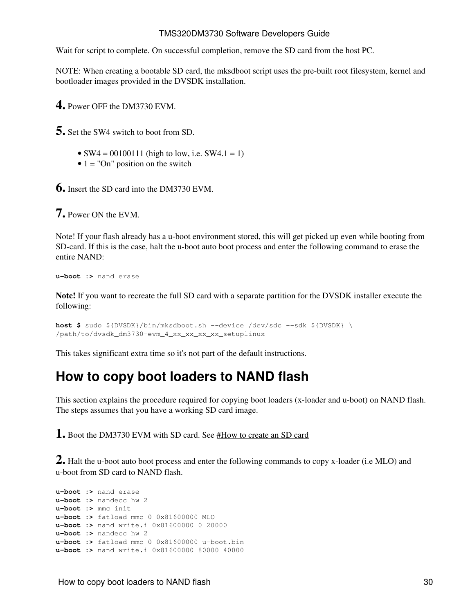Wait for script to complete. On successful completion, remove the SD card from the host PC.

NOTE: When creating a bootable SD card, the mksdboot script uses the pre-built root filesystem, kernel and bootloader images provided in the DVSDK installation.

**4.** Power OFF the DM3730 EVM.

**5.** Set the SW4 switch to boot from SD.

- $SW4 = 00100111$  (high to low, i.e.  $SW4.1 = 1$ )
- $\bullet$  1 = "On" position on the switch

**6.** Insert the SD card into the DM3730 EVM.

**7.** Power ON the EVM.

Note! If your flash already has a u-boot environment stored, this will get picked up even while booting from SD-card. If this is the case, halt the u-boot auto boot process and enter the following command to erase the entire NAND:

**u-boot :>** nand erase

**Note!** If you want to recreate the full SD card with a separate partition for the DVSDK installer execute the following:

```
host $ sudo ${DVSDK}/bin/mksdboot.sh --device /dev/sdc --sdk ${DVSDK} \
/path/to/dvsdk_dm3730-evm_4_xx_xx_xx_xx_setuplinux
```
This takes significant extra time so it's not part of the default instructions.

## <span id="page-29-0"></span>**How to copy boot loaders to NAND flash**

This section explains the procedure required for copying boot loaders (x-loader and u-boot) on NAND flash. The steps assumes that you have a working SD card image.

**1.** Boot the DM3730 EVM with SD card. See [#How to create an SD card](#page-28-0)

**2.** Halt the u-boot auto boot process and enter the following commands to copy x-loader (i.e MLO) and u-boot from SD card to NAND flash.

```
u-boot :> nand erase 
u-boot :> nandecc hw 2
u-boot :> mmc init
u-boot :> fatload mmc 0 0x81600000 MLO
u-boot :> nand write.i 0x81600000 0 20000
u-boot :> nandecc hw 2
u-boot :> fatload mmc 0 0x81600000 u-boot.bin
u-boot :> nand write.i 0x81600000 80000 40000
```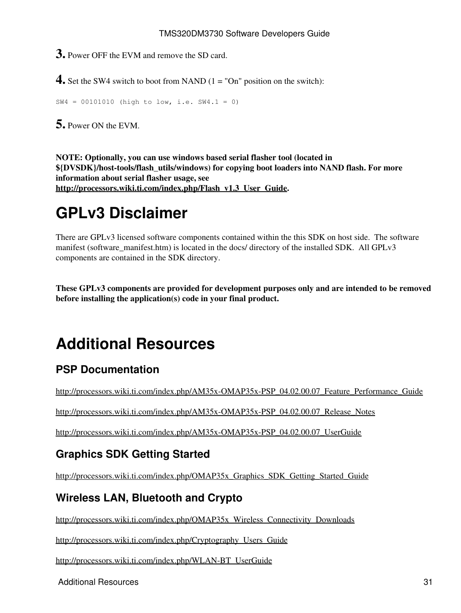**3.** Power OFF the EVM and remove the SD card.

**4.** Set the SW4 switch to boot from NAND (1 = "On" position on the switch):

SW4 = 00101010 (high to low, i.e. SW4.1 = 0)

**5.** Power ON the EVM.

**NOTE: Optionally, you can use windows based serial flasher tool (located in \${DVSDK}/host-tools/flash\_utils/windows) for copying boot loaders into NAND flash. For more information about serial flasher usage, see [http://processors.wiki.ti.com/index.php/Flash\\_v1.3\\_User\\_Guide.](http://processors.wiki.ti.com/index.php/Flash_v1.3_User_Guide)**

# <span id="page-30-0"></span>**GPLv3 Disclaimer**

There are GPLv3 licensed software components contained within the this SDK on host side. The software manifest (software\_manifest.htm) is located in the docs/ directory of the installed SDK. All GPLv3 components are contained in the SDK directory.

**These GPLv3 components are provided for development purposes only and are intended to be removed before installing the application(s) code in your final product.** 

# <span id="page-30-1"></span>**Additional Resources**

## <span id="page-30-2"></span>**PSP Documentation**

[http://processors.wiki.ti.com/index.php/AM35x-OMAP35x-PSP\\_04.02.00.07\\_Feature\\_Performance\\_Guide](http://processors.wiki.ti.com/index.php/AM35x-OMAP35x-PSP_04.02.00.07_Feature_Performance_Guide)

[http://processors.wiki.ti.com/index.php/AM35x-OMAP35x-PSP\\_04.02.00.07\\_Release\\_Notes](http://processors.wiki.ti.com/index.php/AM35x-OMAP35x-PSP_04.02.00.07_Release_Notes)

[http://processors.wiki.ti.com/index.php/AM35x-OMAP35x-PSP\\_04.02.00.07\\_UserGuide](http://processors.wiki.ti.com/index.php/AM35x-OMAP35x-PSP_04.02.00.07_UserGuide)

## <span id="page-30-3"></span>**Graphics SDK Getting Started**

[http://processors.wiki.ti.com/index.php/OMAP35x\\_Graphics\\_SDK\\_Getting\\_Started\\_Guide](http://processors.wiki.ti.com/index.php/OMAP35x_Graphics_SDK_Getting_Started_Guide)

### <span id="page-30-4"></span>**Wireless LAN, Bluetooth and Crypto**

[http://processors.wiki.ti.com/index.php/OMAP35x\\_Wireless\\_Connectivity\\_Downloads](http://processors.wiki.ti.com/index.php/OMAP35x_Wireless_Connectivity_Downloads)

[http://processors.wiki.ti.com/index.php/Cryptography\\_Users\\_Guide](http://processors.wiki.ti.com/index.php/Cryptography_Users_Guide)

[http://processors.wiki.ti.com/index.php/WLAN-BT\\_UserGuide](http://processors.wiki.ti.com/index.php/WLAN-BT_UserGuide)

Additional Resources 31